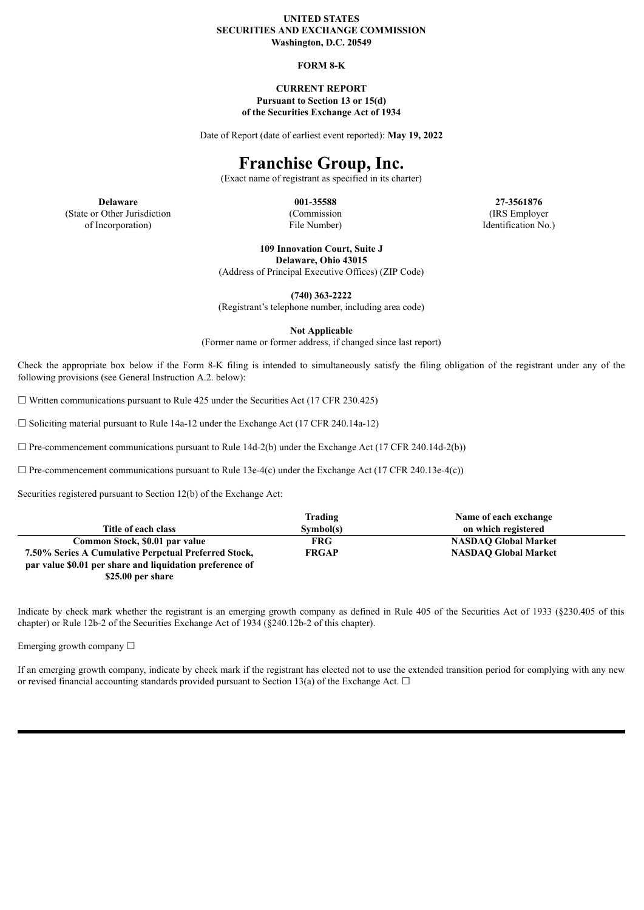#### **UNITED STATES SECURITIES AND EXCHANGE COMMISSION Washington, D.C. 20549**

#### **FORM 8-K**

#### **CURRENT REPORT Pursuant to Section 13 or 15(d) of the Securities Exchange Act of 1934**

Date of Report (date of earliest event reported): **May 19, 2022**

# **Franchise Group, Inc.**

(Exact name of registrant as specified in its charter)

**Delaware 001-35588 27-3561876** (State or Other Jurisdiction of Incorporation)

(Commission File Number)

(IRS Employer Identification No.)

**109 Innovation Court, Suite J Delaware, Ohio 43015**

(Address of Principal Executive Offices) (ZIP Code)

**(740) 363-2222**

(Registrant's telephone number, including area code)

**Not Applicable**

(Former name or former address, if changed since last report)

Check the appropriate box below if the Form 8-K filing is intended to simultaneously satisfy the filing obligation of the registrant under any of the following provisions (see General Instruction A.2. below):

 $\Box$  Written communications pursuant to Rule 425 under the Securities Act (17 CFR 230.425)

☐ Soliciting material pursuant to Rule 14a-12 under the Exchange Act (17 CFR 240.14a-12)

 $\Box$  Pre-commencement communications pursuant to Rule 14d-2(b) under the Exchange Act (17 CFR 240.14d-2(b))

 $\Box$  Pre-commencement communications pursuant to Rule 13e-4(c) under the Exchange Act (17 CFR 240.13e-4(c))

Securities registered pursuant to Section 12(b) of the Exchange Act:

|                                                          | Trading      | Name of each exchange       |
|----------------------------------------------------------|--------------|-----------------------------|
| Title of each class                                      | Sumbol(s)    | on which registered         |
| Common Stock, \$0.01 par value                           | <b>FRG</b>   | <b>NASDAO Global Market</b> |
| 7.50% Series A Cumulative Perpetual Preferred Stock,     | <b>FRGAP</b> | <b>NASDAO Global Market</b> |
| par value \$0.01 per share and liquidation preference of |              |                             |
| \$25.00 per share                                        |              |                             |

Indicate by check mark whether the registrant is an emerging growth company as defined in Rule 405 of the Securities Act of 1933 (§230.405 of this chapter) or Rule 12b-2 of the Securities Exchange Act of 1934 (§240.12b-2 of this chapter).

Emerging growth company ☐

If an emerging growth company, indicate by check mark if the registrant has elected not to use the extended transition period for complying with any new or revised financial accounting standards provided pursuant to Section 13(a) of the Exchange Act.  $\Box$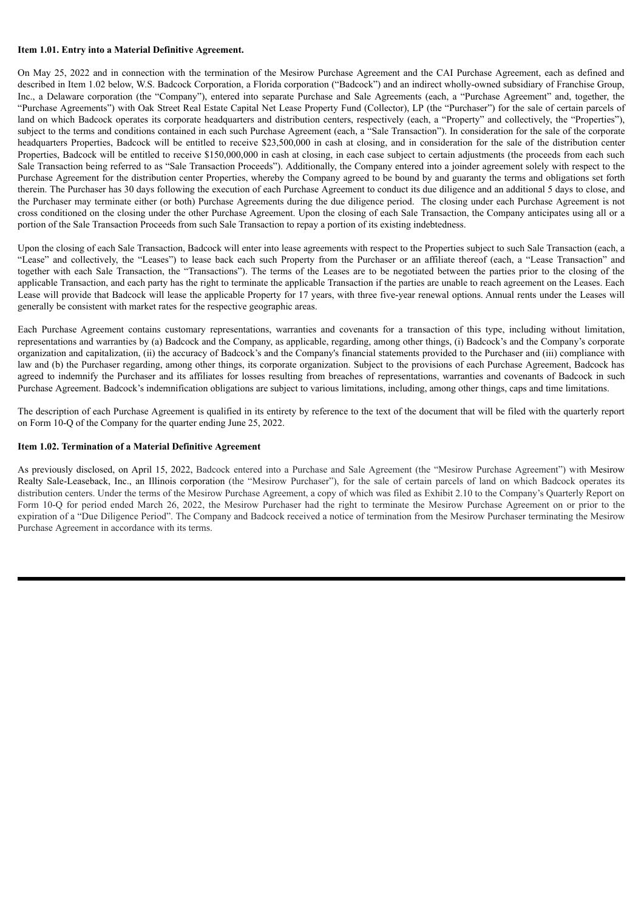#### **Item 1.01. Entry into a Material Definitive Agreement.**

On May 25, 2022 and in connection with the termination of the Mesirow Purchase Agreement and the CAI Purchase Agreement, each as defined and described in Item 1.02 below, W.S. Badcock Corporation, a Florida corporation ("Badcock") and an indirect wholly-owned subsidiary of Franchise Group, Inc., a Delaware corporation (the "Company"), entered into separate Purchase and Sale Agreements (each, a "Purchase Agreement" and, together, the "Purchase Agreements") with Oak Street Real Estate Capital Net Lease Property Fund (Collector), LP (the "Purchaser") for the sale of certain parcels of land on which Badcock operates its corporate headquarters and distribution centers, respectively (each, a "Property" and collectively, the "Properties"), subject to the terms and conditions contained in each such Purchase Agreement (each, a "Sale Transaction"). In consideration for the sale of the corporate headquarters Properties, Badcock will be entitled to receive \$23,500,000 in cash at closing, and in consideration for the sale of the distribution center Properties, Badcock will be entitled to receive \$150,000,000 in cash at closing, in each case subject to certain adjustments (the proceeds from each such Sale Transaction being referred to as "Sale Transaction Proceeds"). Additionally, the Company entered into a joinder agreement solely with respect to the Purchase Agreement for the distribution center Properties, whereby the Company agreed to be bound by and guaranty the terms and obligations set forth therein. The Purchaser has 30 days following the execution of each Purchase Agreement to conduct its due diligence and an additional 5 days to close, and the Purchaser may terminate either (or both) Purchase Agreements during the due diligence period. The closing under each Purchase Agreement is not cross conditioned on the closing under the other Purchase Agreement. Upon the closing of each Sale Transaction, the Company anticipates using all or a portion of the Sale Transaction Proceeds from such Sale Transaction to repay a portion of its existing indebtedness.

Upon the closing of each Sale Transaction, Badcock will enter into lease agreements with respect to the Properties subject to such Sale Transaction (each, a "Lease" and collectively, the "Leases") to lease back each such Property from the Purchaser or an affiliate thereof (each, a "Lease Transaction" and together with each Sale Transaction, the "Transactions"). The terms of the Leases are to be negotiated between the parties prior to the closing of the applicable Transaction, and each party has the right to terminate the applicable Transaction if the parties are unable to reach agreement on the Leases. Each Lease will provide that Badcock will lease the applicable Property for 17 years, with three five-year renewal options. Annual rents under the Leases will generally be consistent with market rates for the respective geographic areas.

Each Purchase Agreement contains customary representations, warranties and covenants for a transaction of this type, including without limitation, representations and warranties by (a) Badcock and the Company, as applicable, regarding, among other things, (i) Badcock's and the Company's corporate organization and capitalization, (ii) the accuracy of Badcock's and the Company's financial statements provided to the Purchaser and (iii) compliance with law and (b) the Purchaser regarding, among other things, its corporate organization. Subject to the provisions of each Purchase Agreement, Badcock has agreed to indemnify the Purchaser and its affiliates for losses resulting from breaches of representations, warranties and covenants of Badcock in such Purchase Agreement. Badcock's indemnification obligations are subject to various limitations, including, among other things, caps and time limitations.

The description of each Purchase Agreement is qualified in its entirety by reference to the text of the document that will be filed with the quarterly report on Form 10-Q of the Company for the quarter ending June 25, 2022.

#### **Item 1.02. Termination of a Material Definitive Agreement**

As previously disclosed, on April 15, 2022, Badcock entered into a Purchase and Sale Agreement (the "Mesirow Purchase Agreement") with Mesirow Realty Sale-Leaseback, Inc., an Illinois corporation (the "Mesirow Purchaser"), for the sale of certain parcels of land on which Badcock operates its distribution centers. Under the terms of the Mesirow Purchase Agreement, a copy of which was filed as Exhibit 2.10 to the Company's Quarterly Report on Form 10-Q for period ended March 26, 2022, the Mesirow Purchaser had the right to terminate the Mesirow Purchase Agreement on or prior to the expiration of a "Due Diligence Period". The Company and Badcock received a notice of termination from the Mesirow Purchaser terminating the Mesirow Purchase Agreement in accordance with its terms.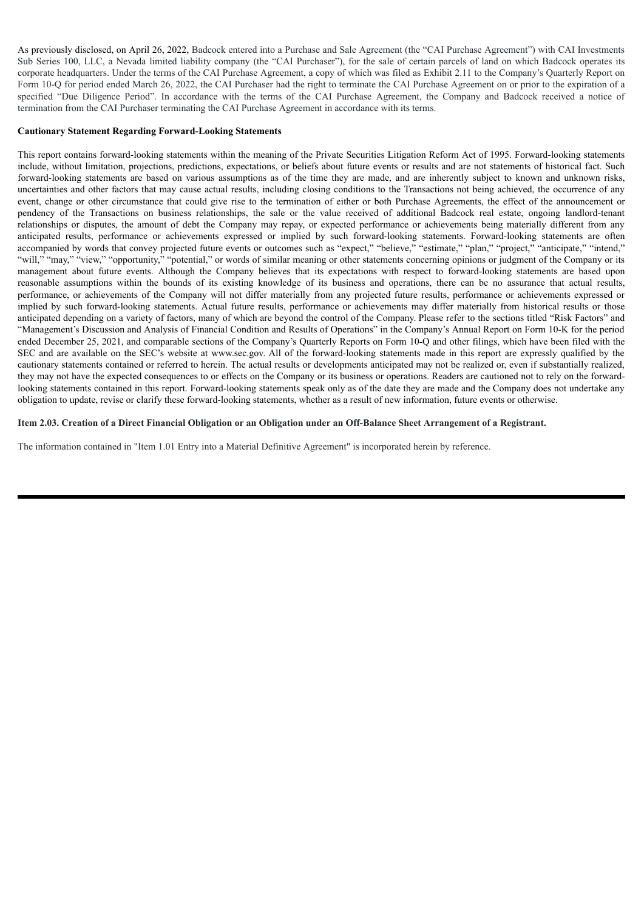As previously disclosed, on April 26, 2022, Badcock entered into a Purchase and Sale Agreement (the "CAI Purchase Agreement") with CAI Investments Sub Series 100, LLC, a Nevada limited liability company (the "CAI Purchaser"), for the sale of certain parcels of land on which Badcock operates its corporate headquarters. Under the terms of the CAI Purchase Agreement, a copy of which was filed as Exhibit 2.11 to the Company's Quarterly Report on Form 10-Q for period ended March 26, 2022, the CAI Purchaser had the right to terminate the CAI Purchase Agreement on or prior to the expiration of a specified "Due Diligence Period". In accordance with the terms of the CAI Purchase Agreement, the Company and Badcock received a notice of termination from the CAI Purchaser terminating the CAI Purchase Agreement in accordance with its terms.

#### **Cautionary Statement Regarding Forward-Looking Statements**

This report contains forward-looking statements within the meaning of the Private Securities Litigation Reform Act of 1995. Forward-looking statements include, without limitation, projections, predictions, expectations, or beliefs about future events or results and are not statements of historical fact. Such forward-looking statements are based on various assumptions as of the time they are made, and are inherently subject to known and unknown risks, uncertainties and other factors that may cause actual results, including closing conditions to the Transactions not being achieved, the occurrence of any event, change or other circumstance that could give rise to the termination of either or both Purchase Agreements, the effect of the announcement or pendency of the Transactions on business relationships, the sale or the value received of additional Badcock real estate, ongoing landlord-tenant relationships or disputes, the amount of debt the Company may repay, or expected performance or achievements being materially different from any anticipated results, performance or achievements expressed or implied by such forward-looking statements. Forward-looking statements are often accompanied by words that convey projected future events or outcomes such as "expect," "believe," "estimate," "plan," "project," "anticipate," "intend," anticipate, " "intend," "will," "may," "view," "opportunity," "potential," or words of similar meaning or other statements concerning opinions or judgment of the Company or its management about future events. Although the Company believes that its expectations with respect to forward-looking statements are based upon reasonable assumptions within the bounds of its existing knowledge of its business and operations, there can be no assurance that actual results, performance, or achievements of the Company will not differ materially from any projected future results, performance or achievements expressed or implied by such forward-looking statements. Actual future results, performance or achievements may differ materially from historical results or those anticipated depending on a variety of factors, many of which are beyond the control of the Company. Please refer to the sections titled "Risk Factors" and "Management's Discussion and Analysis of Financial Condition and Results of Operations" in the Company's Annual Report on Form 10-K for the period ended December 25, 2021, and comparable sections of the Company's Quarterly Reports on Form 10-Q and other filings, which have been filed with the SEC and are available on the SEC's website at www.sec.gov. All of the forward-looking statements made in this report are expressly qualified by the cautionary statements contained or referred to herein. The actual results or developments anticipated may not be realized or, even if substantially realized, they may not have the expected consequences to or effects on the Company or its business or operations. Readers are cautioned not to rely on the forwardlooking statements contained in this report. Forward-looking statements speak only as of the date they are made and the Company does not undertake any obligation to update, revise or clarify these forward-looking statements, whether as a result of new information, future events or otherwise.

#### Item 2.03. Creation of a Direct Financial Obligation or an Obligation under an Off-Balance Sheet Arrangement of a Registrant.

The information contained in "Item 1.01 Entry into a Material Definitive Agreement" is incorporated herein by reference.